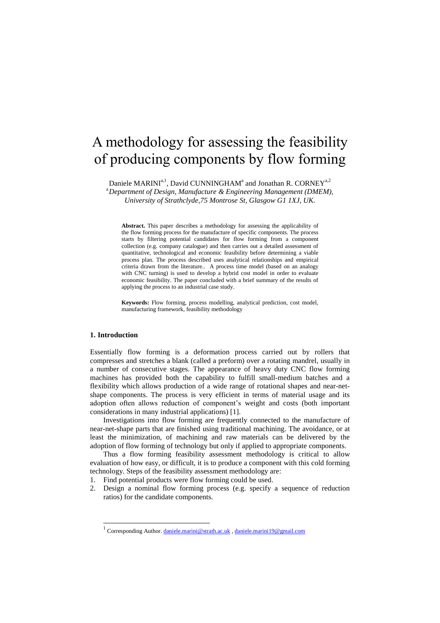# A methodology for assessing the feasibility of producing components by flow forming

Daniele MARINI<sup>a, 1</sup>, David CUNNINGHAM<sup>a</sup> and Jonathan R. CORNEY<sup>a, 2</sup>

<sup>a</sup>*Department of Design, Manufacture & Engineering Management (DMEM), University of Strathclyde,75 Montrose St, Glasgow G1 1XJ, UK.* 

**Abstract.** This paper describes a methodology for assessing the applicability of the flow forming process for the manufacture of specific components. The process starts by filtering potential candidates for flow forming from a component collection (e.g. company catalogue) and then carries out a detailed assessment of quantitative, technological and economic feasibility before determining a viable process plan. The process described uses analytical relationships and empirical criteria drawn from the literature.. A process time model (based on an analogy with CNC turning) is used to develop a hybrid cost model in order to evaluate economic feasibility. The paper concluded with a brief summary of the results of applying the process to an industrial case study.

**Keywords:** Flow forming, process modelling, analytical prediction, cost model, manufacturing framework, feasibility methodology

# **1. Introduction**

1

Essentially flow forming is a deformation process carried out by rollers that compresses and stretches a blank (called a preform) over a rotating mandrel, usually in a number of consecutive stages. The appearance of heavy duty CNC flow forming machines has provided both the capability to fulfill small-medium batches and a flexibility which allows production of a wide range of rotational shapes and near-netshape components. The process is very efficient in terms of material usage and its adoption often allows reduction of component's weight and costs (both important considerations in many industrial applications) [1].

Investigations into flow forming are frequently connected to the manufacture of near-net-shape parts that are finished using traditional machining. The avoidance, or at least the minimization, of machining and raw materials can be delivered by the adoption of flow forming of technology but only if applied to appropriate components.

Thus a flow forming feasibility assessment methodology is critical to allow evaluation of how easy, or difficult, it is to produce a component with this cold forming technology. Steps of the feasibility assessment methodology are:

- 1. Find potential products were flow forming could be used.
- 2. Design a nominal flow forming process (e.g. specify a sequence of reduction ratios) for the candidate components.

<sup>&</sup>lt;sup>1</sup> Corresponding Author[. daniele.marini@strath.ac.uk](mailto:daniele.marini@strath.ac.uk)[, daniele.marini19@gmail.com](mailto:daniele.marini19@gmail.com)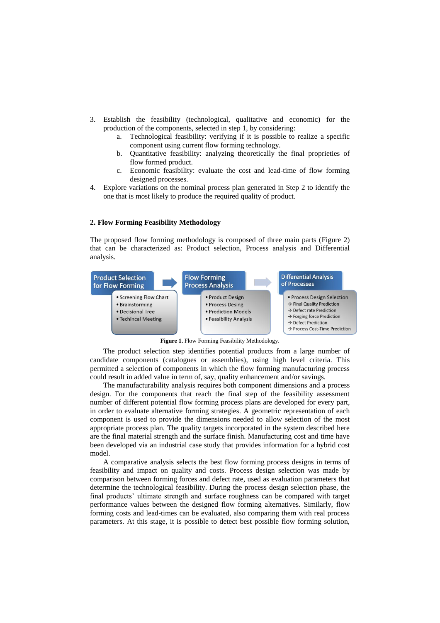- 3. Establish the feasibility (technological, qualitative and economic) for the production of the components, selected in step 1, by considering:
	- a. Technological feasibility: verifying if it is possible to realize a specific component using current flow forming technology.
	- b. Quantitative feasibility: analyzing theoretically the final proprieties of flow formed product.
	- c. Economic feasibility: evaluate the cost and lead-time of flow forming designed processes.
- 4. Explore variations on the nominal process plan generated in Step 2 to identify the one that is most likely to produce the required quality of product.

### **2. Flow Forming Feasibility Methodology**

The proposed flow forming methodology is composed of three main parts (Figure 2) that can be characterized as: Product selection, Process analysis and Differential analysis.



**Figure 1.** Flow Forming Feasibility Methodology.

The product selection step identifies potential products from a large number of candidate components (catalogues or assemblies), using high level criteria. This permitted a selection of components in which the flow forming manufacturing process could result in added value in term of, say, quality enhancement and/or savings.

The manufacturability analysis requires both component dimensions and a process design. For the components that reach the final step of the feasibility assessment number of different potential flow forming process plans are developed for every part, in order to evaluate alternative forming strategies. A geometric representation of each component is used to provide the dimensions needed to allow selection of the most appropriate process plan. The quality targets incorporated in the system described here are the final material strength and the surface finish. Manufacturing cost and time have been developed via an industrial case study that provides information for a hybrid cost model.

A comparative analysis selects the best flow forming process designs in terms of feasibility and impact on quality and costs. Process design selection was made by comparison between forming forces and defect rate, used as evaluation parameters that determine the technological feasibility. During the process design selection phase, the final products' ultimate strength and surface roughness can be compared with target performance values between the designed flow forming alternatives. Similarly, flow forming costs and lead-times can be evaluated, also comparing them with real process parameters. At this stage, it is possible to detect best possible flow forming solution,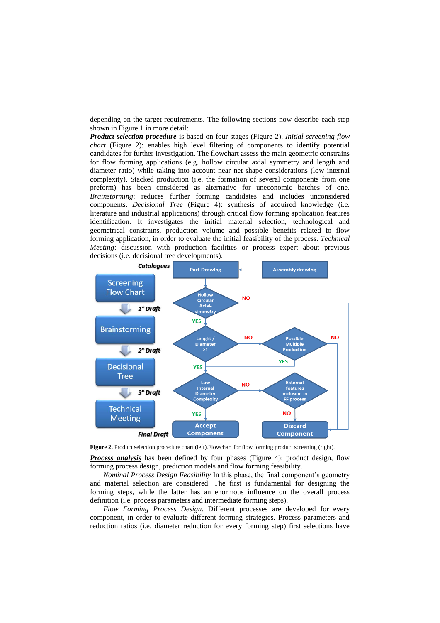depending on the target requirements. The following sections now describe each step shown in Figure 1 in more detail:

*Product selection procedure* is based on four stages (Figure 2). *Initial screening flow chart* (Figure 2): enables high level filtering of components to identify potential candidates for further investigation. The flowchart assess the main geometric constrains for flow forming applications (e.g. hollow circular axial symmetry and length and diameter ratio) while taking into account near net shape considerations (low internal complexity). Stacked production (i.e. the formation of several components from one preform) has been considered as alternative for uneconomic batches of one. *Brainstorming*: reduces further forming candidates and includes unconsidered components. *Decisional Tree* (Figure 4): synthesis of acquired knowledge (i.e. literature and industrial applications) through critical flow forming application features identification. It investigates the initial material selection, technological and geometrical constrains, production volume and possible benefits related to flow forming application, in order to evaluate the initial feasibility of the process. *Technical Meeting*: discussion with production facilities or process expert about previous decisions (i.e. decisional tree developments).



Figure 2. Product selection procedure chart (left). Flowchart for flow forming product screening (right).

*Process analysis* has been defined by four phases (Figure 4): product design, flow forming process design, prediction models and flow forming feasibility.

*Nominal Process Design Feasibility* In this phase, the final component's geometry and material selection are considered. The first is fundamental for designing the forming steps, while the latter has an enormous influence on the overall process definition (i.e. process parameters and intermediate forming steps).

*Flow Forming Process Design*. Different processes are developed for every component, in order to evaluate different forming strategies. Process parameters and reduction ratios (i.e. diameter reduction for every forming step) first selections have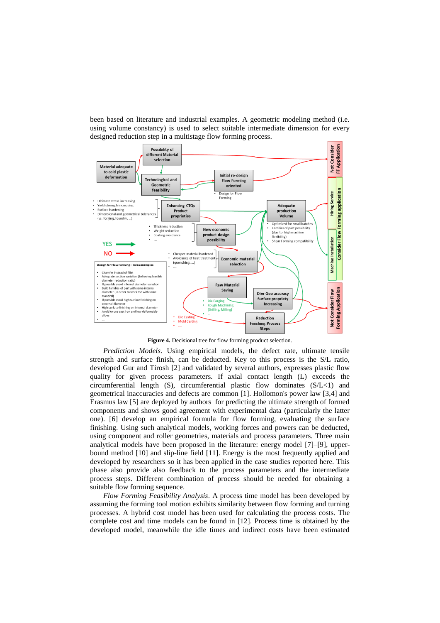been based on literature and industrial examples. A geometric modeling method (i.e. using volume constancy) is used to select suitable intermediate dimension for every designed reduction step in a multistage flow forming process.



**Figure 4.** Decisional tree for flow forming product selection.

*Prediction Models.* Using empirical models, the defect rate, ultimate tensile strength and surface finish, can be deducted. Key to this process is the S/L ratio, developed Gur and Tirosh [2] and validated by several authors, expresses plastic flow quality for given process parameters. If axial contact length (L) exceeds the circumferential length  $(S)$ , circumferential plastic flow dominates  $(S/L<1)$  and geometrical inaccuracies and defects are common [1]. Hollomon's power law [3,4] and Erasmus law [5] are deployed by authors for predicting the ultimate strength of formed components and shows good agreement with experimental data (particularly the latter one). [6] develop an empirical formula for flow forming, evaluating the surface finishing. Using such analytical models, working forces and powers can be deducted, using component and roller geometries, materials and process parameters. Three main analytical models have been proposed in the literature: energy model [7]–[9], upperbound method [10] and slip-line field [11]. Energy is the most frequently applied and developed by researchers so it has been applied in the case studies reported here. This phase also provide also feedback to the process parameters and the intermediate process steps. Different combination of process should be needed for obtaining a suitable flow forming sequence.

*Flow Forming Feasibility Analysis*. A process time model has been developed by assuming the forming tool motion exhibits similarity between flow forming and turning processes. A hybrid cost model has been used for calculating the process costs. The complete cost and time models can be found in [12]. Process time is obtained by the developed model, meanwhile the idle times and indirect costs have been estimated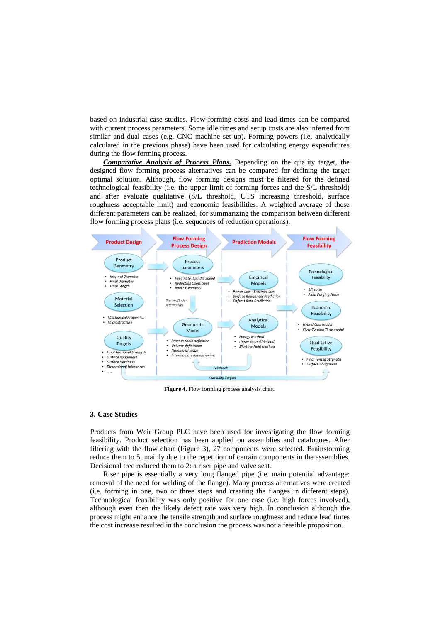based on industrial case studies. Flow forming costs and lead-times can be compared with current process parameters. Some idle times and setup costs are also inferred from similar and dual cases (e.g. CNC machine set-up). Forming powers (i.e. analytically calculated in the previous phase) have been used for calculating energy expenditures during the flow forming process.

*Comparative Analysis of Process Plans.* Depending on the quality target, the designed flow forming process alternatives can be compared for defining the target optimal solution. Although, flow forming designs must be filtered for the defined technological feasibility (i.e. the upper limit of forming forces and the S/L threshold) and after evaluate qualitative (S/L threshold, UTS increasing threshold, surface roughness acceptable limit) and economic feasibilities. A weighted average of these different parameters can be realized, for summarizing the comparison between different flow forming process plans (i.e. sequences of reduction operations).



**Figure 4.** Flow forming process analysis chart.

#### **3. Case Studies**

Products from Weir Group PLC have been used for investigating the flow forming feasibility. Product selection has been applied on assemblies and catalogues. After filtering with the flow chart (Figure 3), 27 components were selected. Brainstorming reduce them to 5, mainly due to the repetition of certain components in the assemblies. Decisional tree reduced them to 2: a riser pipe and valve seat.

Riser pipe is essentially a very long flanged pipe (i.e. main potential advantage: removal of the need for welding of the flange). Many process alternatives were created (i.e. forming in one, two or three steps and creating the flanges in different steps). Technological feasibility was only positive for one case (i.e. high forces involved), although even then the likely defect rate was very high. In conclusion although the process might enhance the tensile strength and surface roughness and reduce lead times the cost increase resulted in the conclusion the process was not a feasible proposition.